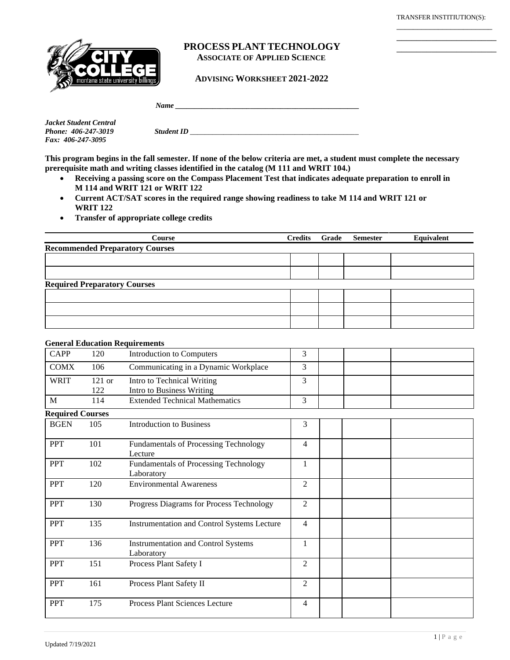TRANSFER INSTITIUTION(S): \_\_\_\_\_\_\_\_\_\_\_\_\_\_\_\_\_\_\_\_\_\_\_

\_\_\_\_\_\_\_\_\_\_\_\_\_\_\_\_\_\_\_\_ \_\_\_\_\_\_\_\_\_\_\_\_\_\_\_\_\_\_\_\_



## **PROCESS PLANT TECHNOLOGY ASSOCIATE OF APPLIED SCIENCE**

 **ADVISING WORKSHEET 2021-2022**

|             | Name |
|-------------|------|
| 1.1.011.011 |      |

*Jacket Student Central Fax: 406-247-3095*

*Phone: 406-247-3019 Student ID \_\_\_\_\_\_\_\_\_\_\_\_\_\_\_\_\_\_\_\_\_\_\_\_\_\_\_\_\_\_\_\_\_\_\_\_\_\_\_\_\_\_\_\_\_*

**This program begins in the fall semester. If none of the below criteria are met, a student must complete the necessary prerequisite math and writing classes identified in the catalog (M 111 and WRIT 104.)**

- **Receiving a passing score on the Compass Placement Test that indicates adequate preparation to enroll in M 114 and WRIT 121 or WRIT 122**
- **Current ACT/SAT scores in the required range showing readiness to take M 114 and WRIT 121 or WRIT 122**
- **Transfer of appropriate college credits**

| Course                                 | Credits Grade | <b>Semester</b> | Equivalent |
|----------------------------------------|---------------|-----------------|------------|
| <b>Recommended Preparatory Courses</b> |               |                 |            |
|                                        |               |                 |            |
|                                        |               |                 |            |
| <b>Required Preparatory Courses</b>    |               |                 |            |
|                                        |               |                 |            |
|                                        |               |                 |            |
|                                        |               |                 |            |

## **General Education Requirements**

| <b>CAPP</b>             | 120             | <b>Introduction to Computers</b>                           | 3              |  |  |
|-------------------------|-----------------|------------------------------------------------------------|----------------|--|--|
| <b>COMX</b>             | 106             | Communicating in a Dynamic Workplace                       | 3              |  |  |
| <b>WRIT</b>             | $121$ or<br>122 | Intro to Technical Writing<br>Intro to Business Writing    | 3              |  |  |
| M                       | 114             | <b>Extended Technical Mathematics</b>                      | 3              |  |  |
| <b>Required Courses</b> |                 |                                                            |                |  |  |
| <b>BGEN</b>             | 105             | <b>Introduction to Business</b>                            | 3              |  |  |
| PPT                     | 101             | Fundamentals of Processing Technology<br>Lecture           | $\overline{4}$ |  |  |
| <b>PPT</b>              | 102             | <b>Fundamentals of Processing Technology</b><br>Laboratory | 1              |  |  |
| PPT                     | 120             | <b>Environmental Awareness</b>                             | $\overline{2}$ |  |  |
| PPT                     | 130             | Progress Diagrams for Process Technology                   | $\overline{2}$ |  |  |
| <b>PPT</b>              | 135             | <b>Instrumentation and Control Systems Lecture</b>         | $\overline{4}$ |  |  |
| <b>PPT</b>              | 136             | <b>Instrumentation and Control Systems</b><br>Laboratory   | 1              |  |  |
| <b>PPT</b>              | 151             | Process Plant Safety I                                     | $\overline{2}$ |  |  |
| PPT                     | 161             | Process Plant Safety II                                    | $\overline{2}$ |  |  |
| <b>PPT</b>              | 175             | Process Plant Sciences Lecture                             | 4              |  |  |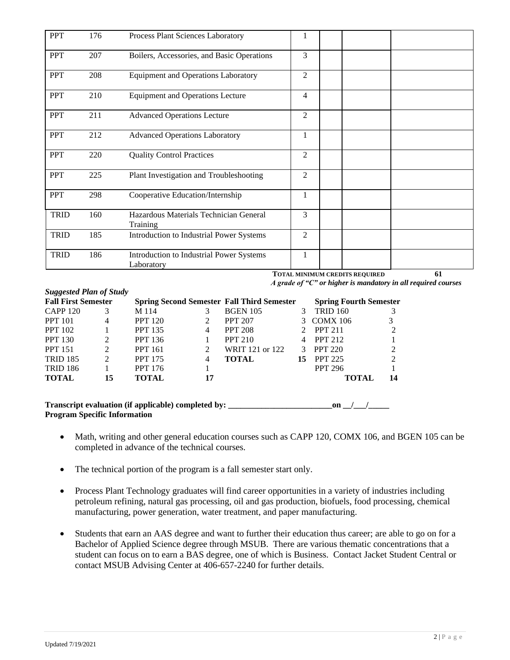| <b>PPT</b>  | 176 | Process Plant Sciences Laboratory                             | $\mathbf 1$    |  |
|-------------|-----|---------------------------------------------------------------|----------------|--|
| <b>PPT</b>  | 207 | Boilers, Accessories, and Basic Operations                    | 3              |  |
| <b>PPT</b>  | 208 | <b>Equipment and Operations Laboratory</b>                    | $\overline{2}$ |  |
| <b>PPT</b>  | 210 | <b>Equipment and Operations Lecture</b>                       | $\overline{4}$ |  |
| <b>PPT</b>  | 211 | <b>Advanced Operations Lecture</b>                            | 2              |  |
| <b>PPT</b>  | 212 | <b>Advanced Operations Laboratory</b>                         | $\mathbf{1}$   |  |
| <b>PPT</b>  | 220 | <b>Quality Control Practices</b>                              | $\overline{c}$ |  |
| <b>PPT</b>  | 225 | Plant Investigation and Troubleshooting                       | $\overline{2}$ |  |
| <b>PPT</b>  | 298 | Cooperative Education/Internship                              | 1              |  |
| <b>TRID</b> | 160 | Hazardous Materials Technician General<br>Training            | 3              |  |
| <b>TRID</b> | 185 | Introduction to Industrial Power Systems                      | $\overline{2}$ |  |
| <b>TRID</b> | 186 | <b>Introduction to Industrial Power Systems</b><br>Laboratory | $\mathbf 1$    |  |

 **TOTAL MINIMUM CREDITS REQUIRED 61**  *A grade of "C" or higher is mandatory in all required courses*

| <b>Suggested Plan of Study</b> |                             |                |                             |                                                   |    |                               |                |
|--------------------------------|-----------------------------|----------------|-----------------------------|---------------------------------------------------|----|-------------------------------|----------------|
| <b>Fall First Semester</b>     |                             |                |                             | <b>Spring Second Semester Fall Third Semester</b> |    | <b>Spring Fourth Semester</b> |                |
| <b>CAPP 120</b>                | 3                           | M 114          | 3                           | <b>BGEN 105</b>                                   | 3  | <b>TRID 160</b>               |                |
| <b>PPT</b> 101                 | 4                           | <b>PPT</b> 120 | 2                           | <b>PPT 207</b>                                    |    | 3 COMX 106                    |                |
| <b>PPT 102</b>                 |                             | <b>PPT 135</b> | 4                           | <b>PPT 208</b>                                    |    | <b>PPT 211</b>                | 2              |
| <b>PPT 130</b>                 | 2                           | <b>PPT</b> 136 |                             | <b>PPT 210</b>                                    | 4  | <b>PPT 212</b>                |                |
| <b>PPT 151</b>                 | 2                           | <b>PPT 161</b> | $\mathcal{D}_{\mathcal{L}}$ | WRIT 121 or 122                                   | 3  | <b>PPT 220</b>                |                |
| <b>TRID 185</b>                | $\mathcal{D}_{\mathcal{L}}$ | <b>PPT 175</b> | 4                           | <b>TOTAL</b>                                      | 15 | <b>PPT 225</b>                | $\mathfrak{D}$ |
| <b>TRID 186</b>                |                             | <b>PPT</b> 176 |                             |                                                   |    | <b>PPT 296</b>                |                |
| <b>TOTAL</b>                   | 15                          | <b>TOTAL</b>   | 17                          |                                                   |    | <b>TOTAL</b>                  | 14             |
|                                |                             |                |                             |                                                   |    |                               |                |
|                                |                             |                |                             |                                                   |    |                               |                |

**Transcript evaluation (if applicable) completed by: \_\_\_\_\_\_\_\_\_\_\_\_\_\_\_\_\_\_\_\_\_\_\_\_\_on \_\_/\_\_\_/\_\_\_\_\_ Program Specific Information**

- Math, writing and other general education courses such as CAPP 120, COMX 106, and BGEN 105 can be completed in advance of the technical courses.
- The technical portion of the program is a fall semester start only.
- Process Plant Technology graduates will find career opportunities in a variety of industries including petroleum refining, natural gas processing, oil and gas production, biofuels, food processing, chemical manufacturing, power generation, water treatment, and paper manufacturing.
- Students that earn an AAS degree and want to further their education thus career; are able to go on for a Bachelor of Applied Science degree through MSUB. There are various thematic concentrations that a student can focus on to earn a BAS degree, one of which is Business. Contact Jacket Student Central or contact MSUB Advising Center at 406-657-2240 for further details.